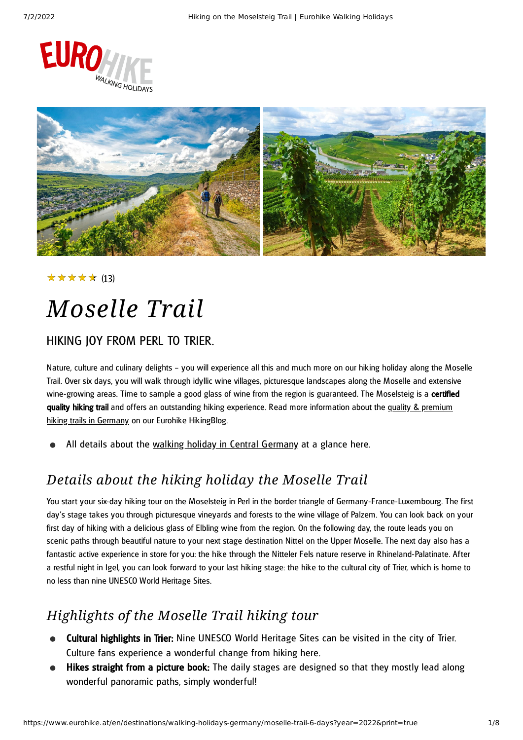



#### ★★★★★ (13)

# *Moselle Trail*

### HIKING JOY FROM PERL TO TRIER.

Nature, culture and culinary delights – you will experience all this and much more on our hiking holiday along the Moselle Trail. Over six days, you will walk through idyllic wine villages, picturesque landscapes along the Moselle and extensive wine-growing areas. Time to sample a good glass of wine from the region is guaranteed. The Moselsteig is a certified quality hiking trail and offers an [outstanding](https://www.eurohike.at/en/blog/german-hiking-paths) hiking experience. Read more information about the quality & premium hiking trails in Germany on our Eurohike HikingBlog.

All details about the walking holiday in Central [Germany](https://www.eurohike.at/en/destinations/walking-holidays-germany/hiking-central-germany) at a glance here.

### *Details about the hiking holiday the Moselle Trail*

You start your six-day hiking tour on the Moselsteig in Perl in the border triangle of Germany-France-Luxembourg. The first day's stage takes you through picturesque vineyards and forests to the wine village of Palzem. You can look back on your first day of hiking with a delicious glass of Elbling wine from the region. On the following day, the route leads you on scenic paths through beautiful nature to your next stage destination Nittel on the Upper Moselle. The next day also has a fantastic active experience in store for you: the hike through the Nitteler Fels nature reserve in Rhineland-Palatinate. After a restful night in Igel, you can look forward to your last hiking stage: the hike to the cultural city of Trier, which is home to no less than nine UNESCO World Heritage Sites.

### *Highlights of the Moselle Trail hiking tour*

- Cultural highlights in Trier: Nine UNESCO World Heritage Sites can be visited in the city of Trier. Culture fans experience a wonderful change from hiking here.
- Hikes straight from a picture book: The daily stages are designed so that they mostly lead along wonderful panoramic paths, simply wonderful!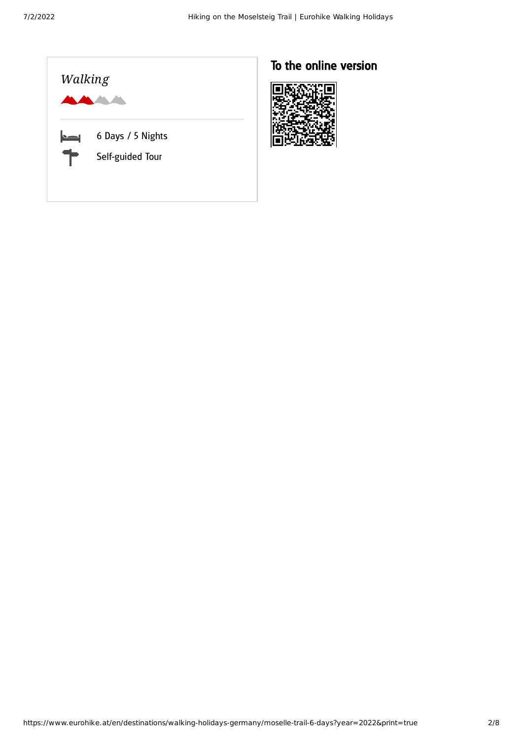

### To the online version

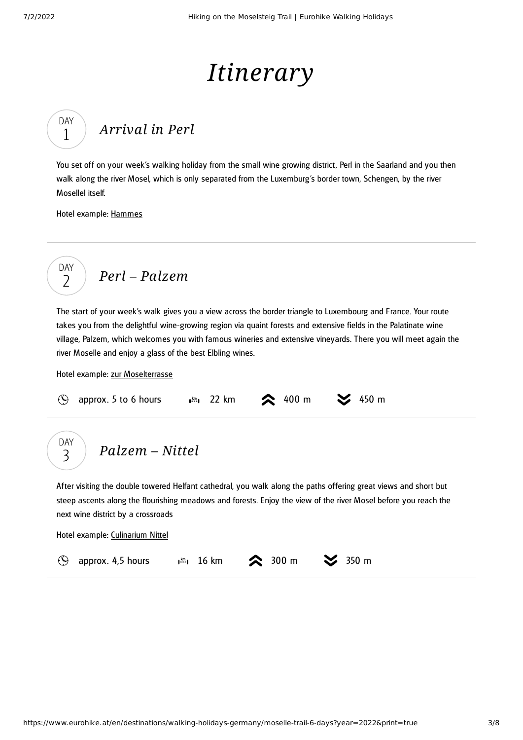DAY 1

# *Itinerary*

# *[Arrival](#page-2-0) in Perl*

<span id="page-2-0"></span>You set off on your week's walking holiday from the small wine growing district, Perl in the Saarland and you then walk along the river Mosel, which is only separated from the Luxemburg 's border town, Schengen, by the river Mosellel itself.

Hotel example: [Hammes](https://hotel-hammes.de/)

$$
\begin{array}{c}\n\text{DAY} \\
2\n\end{array}\n\quad \text{Perl-Palzem}
$$

<span id="page-2-1"></span>The start of your week's walk gives you a view across the border triangle to Luxembourg and France. Your route takes you from the delightful wine-growing region via quaint forests and extensive fields in the Palatinate wine village, Palzem, which welcomes you with famous wineries and extensive vineyards. There you will meet again the river Moselle and enjoy a glass of the best Elbling wines.

Hotel example: zur [Moselterrasse](http://hotel-zur-moselterrasse.de/)

| <b>Example 1991</b> opprox. 5 to 6 hours $\lim_{n \to \infty} 22 \text{ km}$ 22 km $\approx 400 \text{ m}$ $\approx 450 \text{ m}$ |  |  |  |  |
|------------------------------------------------------------------------------------------------------------------------------------|--|--|--|--|
|------------------------------------------------------------------------------------------------------------------------------------|--|--|--|--|

*[Palzem](#page-2-2) – Nittel* DAY 3

<span id="page-2-2"></span>After visiting the double towered Helfant cathedral, you walk along the paths offering great views and short but steep ascents along the flourishing meadows and forests. Enjoy the view of the river Mosel before you reach the next wine district by a crossroads

Hotel example: [Culinarium](http://www.culinarium-nittel.de/) Nittel

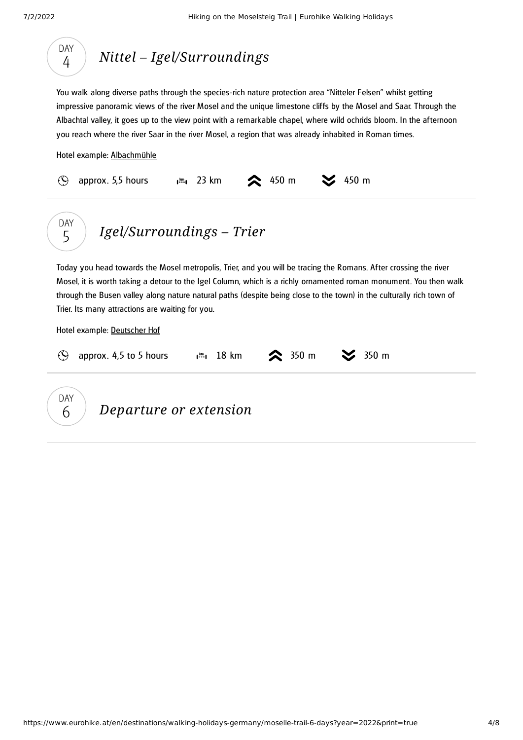

### *Nittel – [Igel/Surroundings](#page-3-0)*

<span id="page-3-0"></span>You walk along diverse paths through the species-rich nature protection area "Nitteler Felsen" whilst getting impressive panoramic views of the river Mosel and the unique limestone cliffs by the Mosel and Saar. Through the Albachtal valley, it goes up to the view point with a remarkable chapel, where wild ochrids bloom. In the afternoon you reach where the river Saar in the river Mosel, a region that was already inhabited in Roman times.

Hotel example: [Albachmühle](https://www.albachmuehle.de/)

<span id="page-3-1"></span>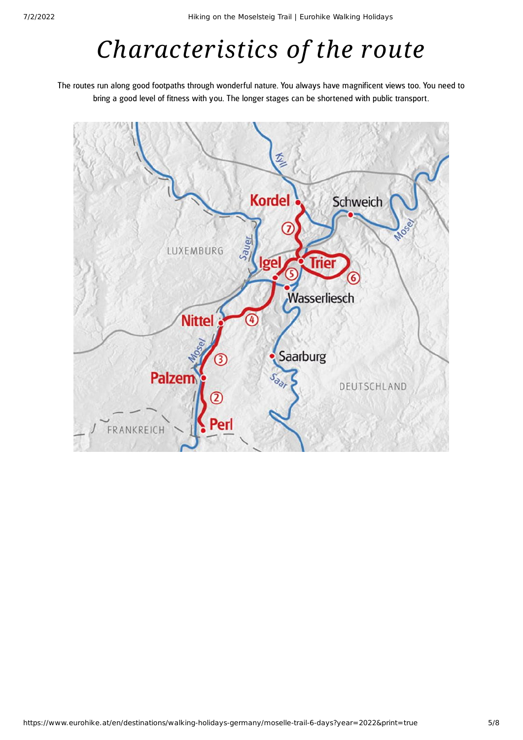# *Characteristics of the route*

The routes run along good footpaths through wonderful nature. You always have magnificent views too. You need to bring a good level of fitness with you. The longer stages can be shortened with public transport.

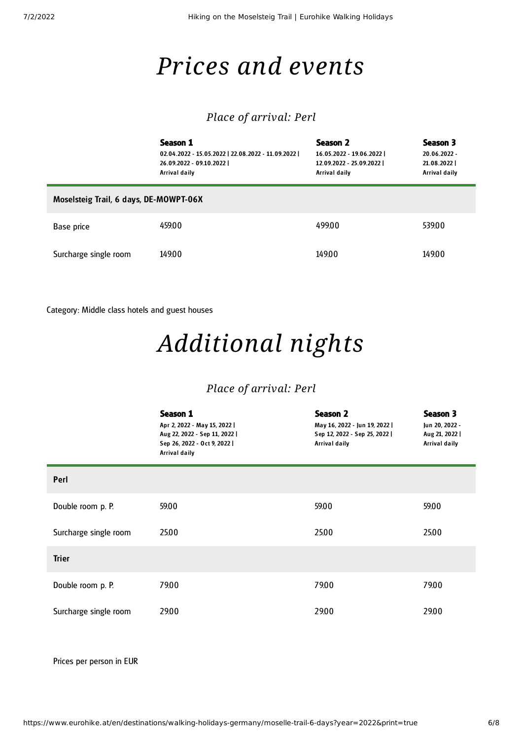### *Prices and events*

#### *Place of arrival: Perl*

|                                        | Season 1<br>02.04.2022 - 15.05.2022   22.08.2022 - 11.09.2022  <br>26.09.2022 - 09.10.2022  <br>Arrival daily | Season 2<br>16.05.2022 - 19.06.2022  <br>12.09.2022 - 25.09.2022  <br>Arrival daily | Season 3<br>20.06.2022 -<br>21.08.2022<br>Arrival daily |  |  |  |
|----------------------------------------|---------------------------------------------------------------------------------------------------------------|-------------------------------------------------------------------------------------|---------------------------------------------------------|--|--|--|
| Moselsteig Trail, 6 days, DE-MOWPT-06X |                                                                                                               |                                                                                     |                                                         |  |  |  |
| Base price                             | 459.00                                                                                                        | 499.00                                                                              | 539.00                                                  |  |  |  |
| Surcharge single room                  | 149.00                                                                                                        | 14900                                                                               | 149.00                                                  |  |  |  |

Category: Middle class hotels and guest houses

### *Additional nights*

#### *Place of arrival: Perl*

|                       | Season 1<br>Apr 2, 2022 - May 15, 2022  <br>Aug 22, 2022 - Sep 11, 2022  <br>Sep 26, 2022 - Oct 9, 2022  <br>Arrival daily | <b>Season 2</b><br>May 16, 2022 - Jun 19, 2022  <br>Sep 12, 2022 - Sep 25, 2022  <br>Arrival daily | Season 3<br>Jun 20, 2022 -<br>Aug 21, 2022  <br>Arrival daily |
|-----------------------|----------------------------------------------------------------------------------------------------------------------------|----------------------------------------------------------------------------------------------------|---------------------------------------------------------------|
| Perl                  |                                                                                                                            |                                                                                                    |                                                               |
| Double room p. P.     | 59.00                                                                                                                      | 59.00                                                                                              | 59.00                                                         |
| Surcharge single room | 25.00                                                                                                                      | 25.00                                                                                              | 25.00                                                         |
| <b>Trier</b>          |                                                                                                                            |                                                                                                    |                                                               |
| Double room p. P.     | 79.00                                                                                                                      | 79.00                                                                                              | 79.00                                                         |
| Surcharge single room | 29.00                                                                                                                      | 29.00                                                                                              | 29.00                                                         |

Prices per person in EUR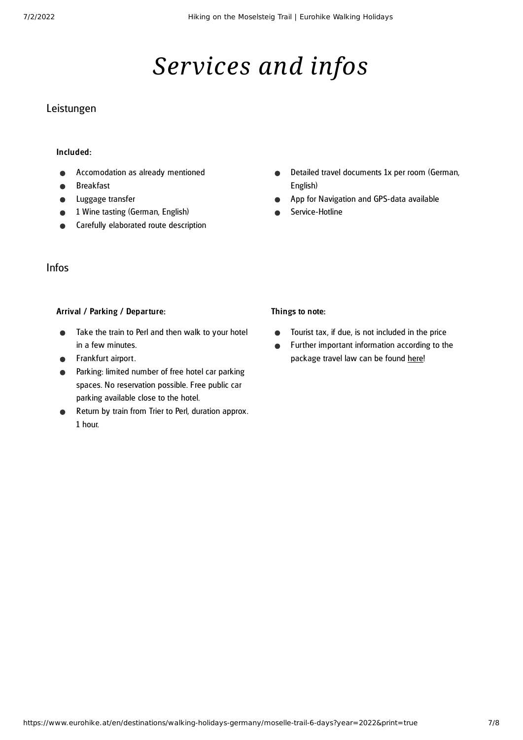# *Services and infos*

#### Leistungen

#### Included:

- Accomodation as already mentioned
- Breakfast
- Luggage transfer
- 1 Wine tasting (German, English)
- Carefully elaborated route description

#### Infos

#### Arrival / Parking / Departure:

- Take the train to Perl and then walk to your hotel  $\bullet$ in a few minutes.
- Frankfurt airport.
- Parking: limited number of free hotel car parking spaces. No reservation possible. Free public car parking available close to the hotel.
- Return by train from Trier to Perl, duration approx. 1 hour.
- Detailed travel documents 1x per room (German,  $\bullet$ English)
- App for Navigation and GPS-data available
- Service-Hotline

#### Things to note:

- Tourist tax, if due, is not included in the price  $\bullet$
- Further important information according to the  $\bullet$ package travel law can be found [here](https://www.eurohike.at/en/travel-information/before-the-tour/pci)!